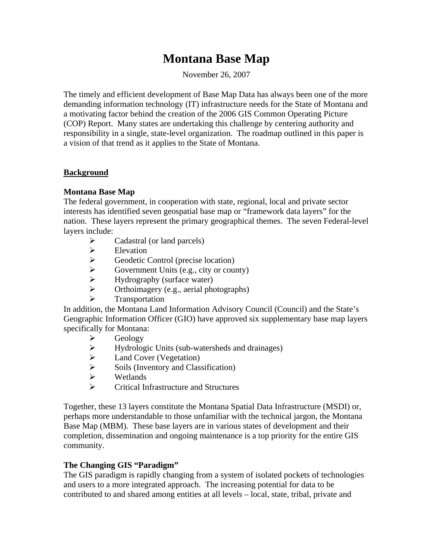# **Montana Base Map**

November 26, 2007

The timely and efficient development of Base Map Data has always been one of the more demanding information technology (IT) infrastructure needs for the State of Montana and a motivating factor behind the creation of the 2006 GIS Common Operating Picture (COP) Report. Many states are undertaking this challenge by centering authority and responsibility in a single, state-level organization. The roadmap outlined in this paper is a vision of that trend as it applies to the State of Montana.

## **Background**

# **Montana Base Map**

 The federal government, in cooperation with state, regional, local and private sector interests has identified seven geospatial base map or "framework data layers" for the nation. These layers represent the primary geographical themes. The seven Federal-level layers include:

- $\triangleright$  Cadastral (or land parcels)
- $\blacktriangleright$  Elevation
- $\triangleright$  Geodetic Control (precise location)<br>  $\triangleright$  Government Units (e.g., city or coun
- Government Units (e.g., city or county)
- $\triangleright$  Hydrography (surface water)
- $\triangleright$  Orthoimagery (e.g., aerial photographs)
- Transportation

In addition, the Montana Land Information Advisory Council (Council) and the State's Geographic Information Officer (GIO) have approved six supplementary base map layers specifically for Montana:

- $\triangleright$  Geology<br> $\triangleright$  Hydrolog
- Hydrologic Units (sub-watersheds and drainages)
- $\triangleright$  Land Cover (Vegetation)
- $\triangleright$  Soils (Inventory and Classification)
- Wetlands
- Critical Infrastructure and Structures

Together, these 13 layers constitute the Montana Spatial Data Infrastructure (MSDI) or, perhaps more understandable to those unfamiliar with the technical jargon, the Montana Base Map (MBM). These base layers are in various states of development and their completion, dissemination and ongoing maintenance is a top priority for the entire GIS community.

## **The Changing GIS "Paradigm"**

The GIS paradigm is rapidly changing from a system of isolated pockets of technologies and users to a more integrated approach. The increasing potential for data to be contributed to and shared among entities at all levels – local, state, tribal, private and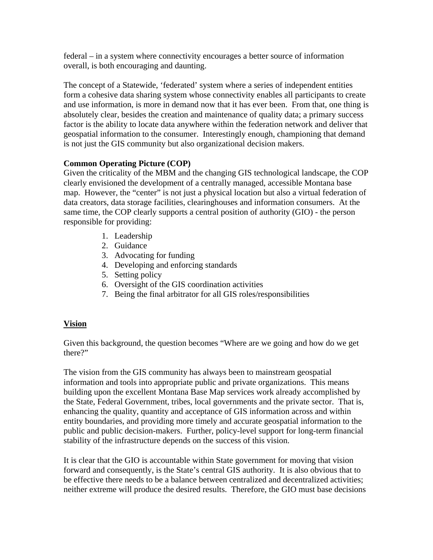federal – in a system where connectivity encourages a better source of information overall, is both encouraging and daunting.

The concept of a Statewide, 'federated' system where a series of independent entities form a cohesive data sharing system whose connectivity enables all participants to create and use information, is more in demand now that it has ever been. From that, one thing is absolutely clear, besides the creation and maintenance of quality data; a primary success factor is the ability to locate data anywhere within the federation network and deliver that geospatial information to the consumer. Interestingly enough, championing that demand is not just the GIS community but also organizational decision makers.

# **Common Operating Picture (COP)**

Given the criticality of the MBM and the changing GIS technological landscape, the COP clearly envisioned the development of a centrally managed, accessible Montana base map. However, the "center" is not just a physical location but also a virtual federation of data creators, data storage facilities, clearinghouses and information consumers. At the same time, the COP clearly supports a central position of authority (GIO) - the person responsible for providing:

- 1. Leadership
- 2. Guidance
- 3. Advocating for funding
- 4. Developing and enforcing standards
- 5. Setting policy
- 6. Oversight of the GIS coordination activities
- 7. Being the final arbitrator for all GIS roles/responsibilities

# **Vision**

Given this background, the question becomes "Where are we going and how do we get there?"

The vision from the GIS community has always been to mainstream geospatial information and tools into appropriate public and private organizations. This means building upon the excellent Montana Base Map services work already accomplished by the State, Federal Government, tribes, local governments and the private sector. That is, enhancing the quality, quantity and acceptance of GIS information across and within entity boundaries, and providing more timely and accurate geospatial information to the public and public decision-makers. Further, policy-level support for long-term financial stability of the infrastructure depends on the success of this vision.

It is clear that the GIO is accountable within State government for moving that vision forward and consequently, is the State's central GIS authority. It is also obvious that to be effective there needs to be a balance between centralized and decentralized activities; neither extreme will produce the desired results. Therefore, the GIO must base decisions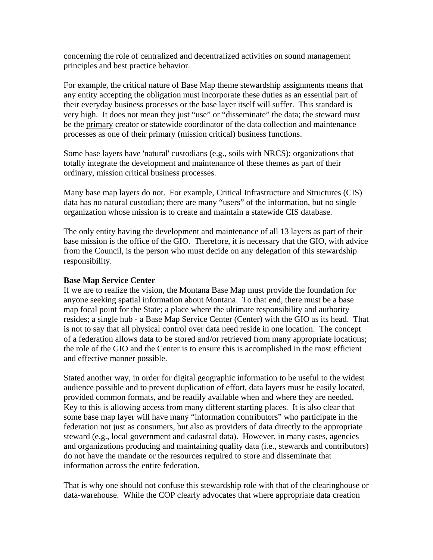concerning the role of centralized and decentralized activities on sound management principles and best practice behavior.

For example, the critical nature of Base Map theme stewardship assignments means that any entity accepting the obligation must incorporate these duties as an essential part of their everyday business processes or the base layer itself will suffer. This standard is very high. It does not mean they just "use" or "disseminate" the data; the steward must be the primary creator or statewide coordinator of the data collection and maintenance processes as one of their primary (mission critical) business functions.

Some base layers have 'natural' custodians (e.g., soils with NRCS); organizations that totally integrate the development and maintenance of these themes as part of their ordinary, mission critical business processes.

Many base map layers do not. For example, Critical Infrastructure and Structures (CIS) data has no natural custodian; there are many "users" of the information, but no single organization whose mission is to create and maintain a statewide CIS database.

The only entity having the development and maintenance of all 13 layers as part of their base mission is the office of the GIO. Therefore, it is necessary that the GIO, with advice from the Council, is the person who must decide on any delegation of this stewardship responsibility.

#### **Base Map Service Center**

If we are to realize the vision, the Montana Base Map must provide the foundation for anyone seeking spatial information about Montana. To that end, there must be a base map focal point for the State; a place where the ultimate responsibility and authority resides; a single hub - a Base Map Service Center (Center) with the GIO as its head. That is not to say that all physical control over data need reside in one location. The concept of a federation allows data to be stored and/or retrieved from many appropriate locations; the role of the GIO and the Center is to ensure this is accomplished in the most efficient and effective manner possible.

Stated another way, in order for digital geographic information to be useful to the widest audience possible and to prevent duplication of effort, data layers must be easily located, provided common formats, and be readily available when and where they are needed. Key to this is allowing access from many different starting places. It is also clear that some base map layer will have many "information contributors" who participate in the federation not just as consumers, but also as providers of data directly to the appropriate steward (e.g., local government and cadastral data). However, in many cases, agencies and organizations producing and maintaining quality data (i.e., stewards and contributors) do not have the mandate or the resources required to store and disseminate that information across the entire federation.

That is why one should not confuse this stewardship role with that of the clearinghouse or data-warehouse. While the COP clearly advocates that where appropriate data creation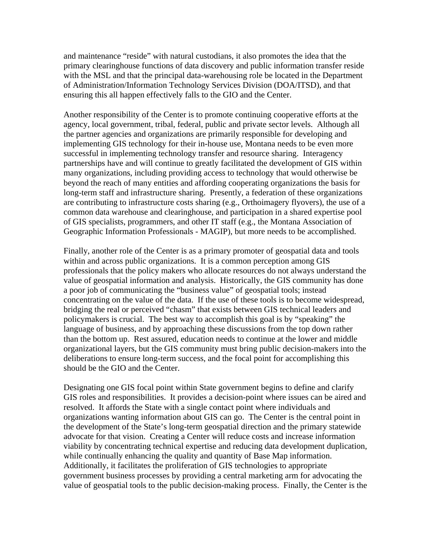and maintenance "reside" with natural custodians, it also promotes the idea that the primary clearinghouse functions of data discovery and public information transfer reside with the MSL and that the principal data-warehousing role be located in the Department of Administration/Information Technology Services Division (DOA/ITSD), and that ensuring this all happen effectively falls to the GIO and the Center.

Another responsibility of the Center is to promote continuing cooperative efforts at the agency, local government, tribal, federal, public and private sector levels. Although all the partner agencies and organizations are primarily responsible for developing and implementing GIS technology for their in-house use, Montana needs to be even more successful in implementing technology transfer and resource sharing. Interagency partnerships have and will continue to greatly facilitated the development of GIS within many organizations, including providing access to technology that would otherwise be beyond the reach of many entities and affording cooperating organizations the basis for long-term staff and infrastructure sharing. Presently, a federation of these organizations are contributing to infrastructure costs sharing (e.g., Orthoimagery flyovers), the use of a common data warehouse and clearinghouse, and participation in a shared expertise pool of GIS specialists, programmers, and other IT staff (e.g., the Montana Association of Geographic Information Professionals - MAGIP), but more needs to be accomplished.

Finally, another role of the Center is as a primary promoter of geospatial data and tools within and across public organizations. It is a common perception among GIS professionals that the policy makers who allocate resources do not always understand the value of geospatial information and analysis. Historically, the GIS community has done a poor job of communicating the "business value" of geospatial tools; instead concentrating on the value of the data. If the use of these tools is to become widespread, bridging the real or perceived "chasm" that exists between GIS technical leaders and policymakers is crucial. The best way to accomplish this goal is by "speaking" the language of business, and by approaching these discussions from the top down rather than the bottom up. Rest assured, education needs to continue at the lower and middle organizational layers, but the GIS community must bring public decision-makers into the deliberations to ensure long-term success, and the focal point for accomplishing this should be the GIO and the Center.

Designating one GIS focal point within State government begins to define and clarify GIS roles and responsibilities. It provides a decision-point where issues can be aired and resolved. It affords the State with a single contact point where individuals and organizations wanting information about GIS can go. The Center is the central point in the development of the State's long-term geospatial direction and the primary statewide advocate for that vision. Creating a Center will reduce costs and increase information viability by concentrating technical expertise and reducing data development duplication, while continually enhancing the quality and quantity of Base Map information. Additionally, it facilitates the proliferation of GIS technologies to appropriate government business processes by providing a central marketing arm for advocating the value of geospatial tools to the public decision-making process. Finally, the Center is the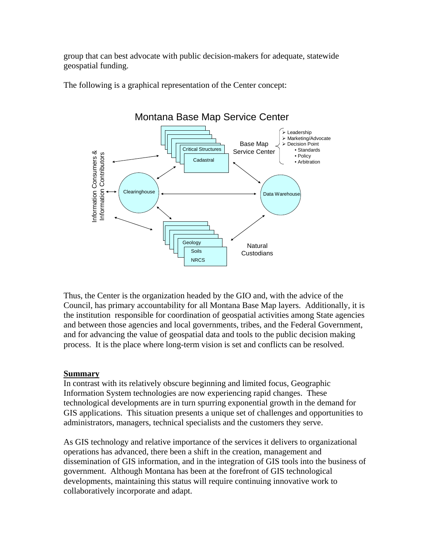group that can best advocate with public decision-makers for adequate, statewide geospatial funding.

The following is a graphical representation of the Center concept:



Thus, the Center is the organization headed by the GIO and, with the advice of the Council, has primary accountability for all Montana Base Map layers. Additionally, it is the institution responsible for coordination of geospatial activities among State agencies and between those agencies and local governments, tribes, and the Federal Government, and for advancing the value of geospatial data and tools to the public decision making process. It is the place where long-term vision is set and conflicts can be resolved.

## **Summary**

In contrast with its relatively obscure beginning and limited focus, Geographic Information System technologies are now experiencing rapid changes. These technological developments are in turn spurring exponential growth in the demand for GIS applications. This situation presents a unique set of challenges and opportunities to administrators, managers, technical specialists and the customers they serve.

As GIS technology and relative importance of the services it delivers to organizational operations has advanced, there been a shift in the creation, management and dissemination of GIS information, and in the integration of GIS tools into the business of government. Although Montana has been at the forefront of GIS technological developments, maintaining this status will require continuing innovative work to collaboratively incorporate and adapt.